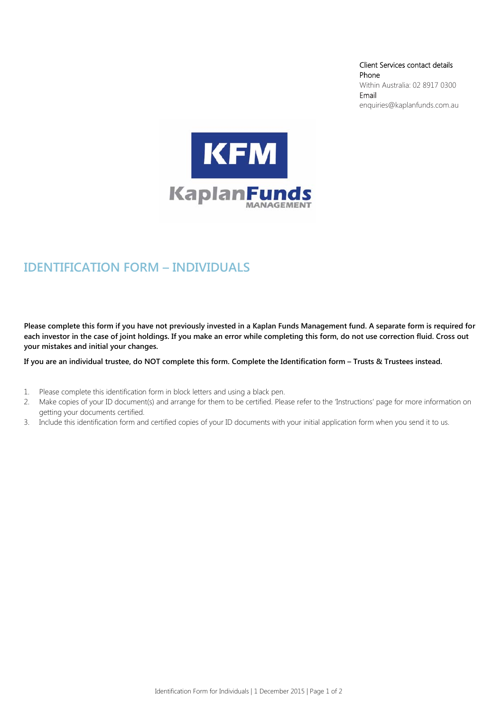Client Services contact details Phone Within Australia: 02 8917 0300 Email enquiries@kaplanfunds.com.au



# **IDENTIFICATION FORM – INDIVIDUALS**

**Please complete this form if you have not previously invested in a Kaplan Funds Management fund. A separate form is required for each investor in the case of joint holdings. If you make an error while completing this form, do not use correction fluid. Cross out your mistakes and initial your changes.** 

**If you are an individual trustee, do NOT complete this form. Complete the Identification form – Trusts & Trustees instead.** 

- 1. Please complete this identification form in block letters and using a black pen.
- 2. Make copies of your ID document(s) and arrange for them to be certified. Please refer to the 'Instructions' page for more information on getting your documents certified.
- 3. Include this identification form and certified copies of your ID documents with your initial application form when you send it to us.